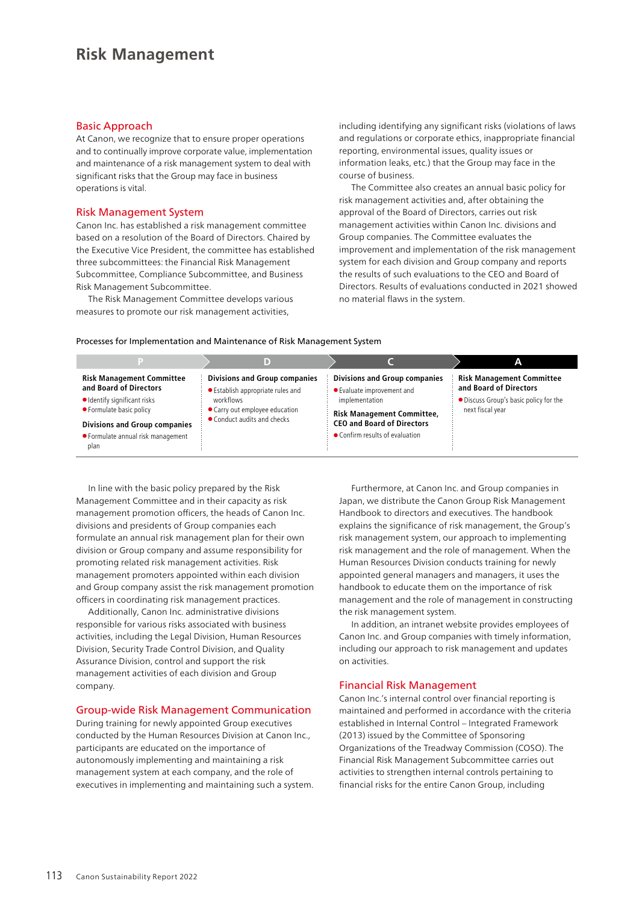# **Risk Management**

#### Basic Approach

At Canon, we recognize that to ensure proper operations and to continually improve corporate value, implementation and maintenance of a risk management system to deal with significant risks that the Group may face in business operations is vital.

### Risk Management System

Canon Inc. has established a risk management committee based on a resolution of the Board of Directors. Chaired by the Executive Vice President, the committee has established three subcommittees: the Financial Risk Management Subcommittee, Compliance Subcommittee, and Business Risk Management Subcommittee.

The Risk Management Committee develops various measures to promote our risk management activities,

including identifying any significant risks (violations of laws and regulations or corporate ethics, inappropriate financial reporting, environmental issues, quality issues or information leaks, etc.) that the Group may face in the course of business.

The Committee also creates an annual basic policy for risk management activities and, after obtaining the approval of the Board of Directors, carries out risk management activities within Canon Inc. divisions and Group companies. The Committee evaluates the improvement and implementation of the risk management system for each division and Group company and reports the results of such evaluations to the CEO and Board of Directors. Results of evaluations conducted in 2021 showed no material flaws in the system.

#### Processes for Implementation and Maintenance of Risk Management System

|                                                                                                                                                                                                              | D                                                                                                                                                       |                                                                                                                                                                                                   | А                                                                                                                        |
|--------------------------------------------------------------------------------------------------------------------------------------------------------------------------------------------------------------|---------------------------------------------------------------------------------------------------------------------------------------------------------|---------------------------------------------------------------------------------------------------------------------------------------------------------------------------------------------------|--------------------------------------------------------------------------------------------------------------------------|
| <b>Risk Management Committee</b><br>and Board of Directors<br>· Identify significant risks<br>• Formulate basic policy<br><b>Divisions and Group companies</b><br>• Formulate annual risk management<br>plan | <b>Divisions and Group companies</b><br>• Establish appropriate rules and<br>workflows<br>• Carry out employee education<br>• Conduct audits and checks | <b>Divisions and Group companies</b><br>● Evaluate improvement and<br>implementation<br><b>Risk Management Committee,</b><br><b>CEO and Board of Directors</b><br>• Confirm results of evaluation | <b>Risk Management Committee</b><br>and Board of Directors<br>• Discuss Group's basic policy for the<br>next fiscal year |

In line with the basic policy prepared by the Risk Management Committee and in their capacity as risk management promotion officers, the heads of Canon Inc. divisions and presidents of Group companies each formulate an annual risk management plan for their own division or Group company and assume responsibility for promoting related risk management activities. Risk management promoters appointed within each division and Group company assist the risk management promotion officers in coordinating risk management practices.

Additionally, Canon Inc. administrative divisions responsible for various risks associated with business activities, including the Legal Division, Human Resources Division, Security Trade Control Division, and Quality Assurance Division, control and support the risk management activities of each division and Group company.

# Group-wide Risk Management Communication

During training for newly appointed Group executives conducted by the Human Resources Division at Canon Inc., participants are educated on the importance of autonomously implementing and maintaining a risk management system at each company, and the role of executives in implementing and maintaining such a system.

Furthermore, at Canon Inc. and Group companies in Japan, we distribute the Canon Group Risk Management Handbook to directors and executives. The handbook explains the significance of risk management, the Group's risk management system, our approach to implementing risk management and the role of management. When the Human Resources Division conducts training for newly appointed general managers and managers, it uses the handbook to educate them on the importance of risk management and the role of management in constructing the risk management system.

In addition, an intranet website provides employees of Canon Inc. and Group companies with timely information, including our approach to risk management and updates on activities.

# Financial Risk Management

Canon Inc.'s internal control over financial reporting is maintained and performed in accordance with the criteria established in Internal Control – Integrated Framework (2013) issued by the Committee of Sponsoring Organizations of the Treadway Commission (COSO). The Financial Risk Management Subcommittee carries out activities to strengthen internal controls pertaining to financial risks for the entire Canon Group, including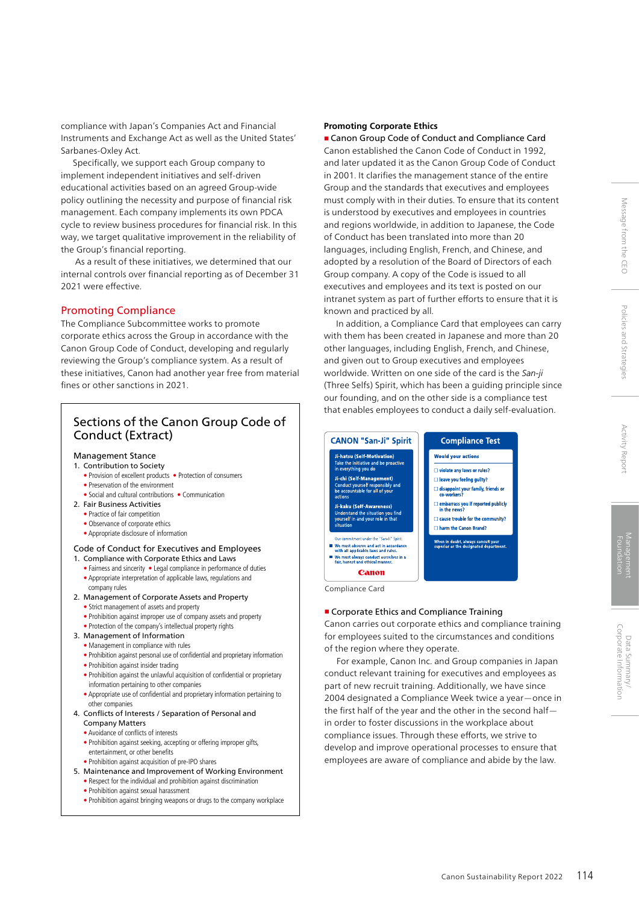compliance with Japan's Companies Act and Financial Instruments and Exchange Act as well as the United States' Sarbanes-Oxley Act.

Specifically, we support each Group company to implement independent initiatives and self-driven educational activities based on an agreed Group-wide policy outlining the necessity and purpose of financial risk management. Each company implements its own PDCA cycle to review business procedures for financial risk. In this way, we target qualitative improvement in the reliability of the Group's financial reporting.

 As a result of these initiatives, we determined that our internal controls over financial reporting as of December 31 2021 were effective.

# Promoting Compliance

The Compliance Subcommittee works to promote corporate ethics across the Group in accordance with the Canon Group Code of Conduct, developing and regularly reviewing the Group's compliance system. As a result of these initiatives, Canon had another year free from material fines or other sanctions in 2021.

# Sections of the Canon Group Code of Conduct (Extract)

# Management Stance

- 1. Contribution to Society
	- Provision of excellent products Protection of consumers • Preservation of the environment
	- Social and cultural contributions Communication
- 2. Fair Business Activities
	- Practice of fair competition
	- Observance of corporate ethics
	- Appropriate disclosure of information

#### Code of Conduct for Executives and Employees 1. Compliance with Corporate Ethics and Laws

- Fairness and sincerity Legal compliance in performance of duties • Appropriate interpretation of applicable laws, regulations and company rules
- 2. Management of Corporate Assets and Property
	- Strict management of assets and property
	- Prohibition against improper use of company assets and property
	- Protection of the company's intellectual property rights
- 3. Management of Information
	- Management in compliance with rules
	- Prohibition against personal use of confidential and proprietary information
	- Prohibition against insider trading
	- Prohibition against the unlawful acquisition of confidential or proprietary information pertaining to other companies
	- Appropriate use of confidential and proprietary information pertaining to other companies
- 4. Conflicts of Interests / Separation of Personal and Company Matters
	- Avoidance of conflicts of interests
	- Prohibition against seeking, accepting or offering improper gifts, entertainment, or other benefits
	- Prohibition against acquisition of pre-IPO shares
- 5. Maintenance and Improvement of Working Environment • Respect for the individual and prohibition against discrimination
	- Prohibition against sexual harassment
	- Prohibition against bringing weapons or drugs to the company workplace

#### **Promoting Corporate Ethics**

■ Canon Group Code of Conduct and Compliance Card Canon established the Canon Code of Conduct in 1992, and later updated it as the Canon Group Code of Conduct in 2001. It clarifies the management stance of the entire Group and the standards that executives and employees must comply with in their duties. To ensure that its content is understood by executives and employees in countries and regions worldwide, in addition to Japanese, the Code of Conduct has been translated into more than 20 languages, including English, French, and Chinese, and adopted by a resolution of the Board of Directors of each Group company. A copy of the Code is issued to all executives and employees and its text is posted on our intranet system as part of further efforts to ensure that it is known and practiced by all.

In addition, a Compliance Card that employees can carry with them has been created in Japanese and more than 20 other languages, including English, French, and Chinese, and given out to Group executives and employees worldwide. Written on one side of the card is the *San-ji*  (Three Selfs) Spirit, which has been a guiding principle since our founding, and on the other side is a compliance test that enables employees to conduct a daily self-evaluation.



#### ■ Corporate Ethics and Compliance Training

Canon carries out corporate ethics and compliance training for employees suited to the circumstances and conditions of the region where they operate.

For example, Canon Inc. and Group companies in Japan conduct relevant training for executives and employees as part of new recruit training. Additionally, we have since 2004 designated a Compliance Week twice a year—once in the first half of the year and the other in the second half in order to foster discussions in the workplace about compliance issues. Through these efforts, we strive to develop and improve operational processes to ensure that employees are aware of compliance and abide by the law.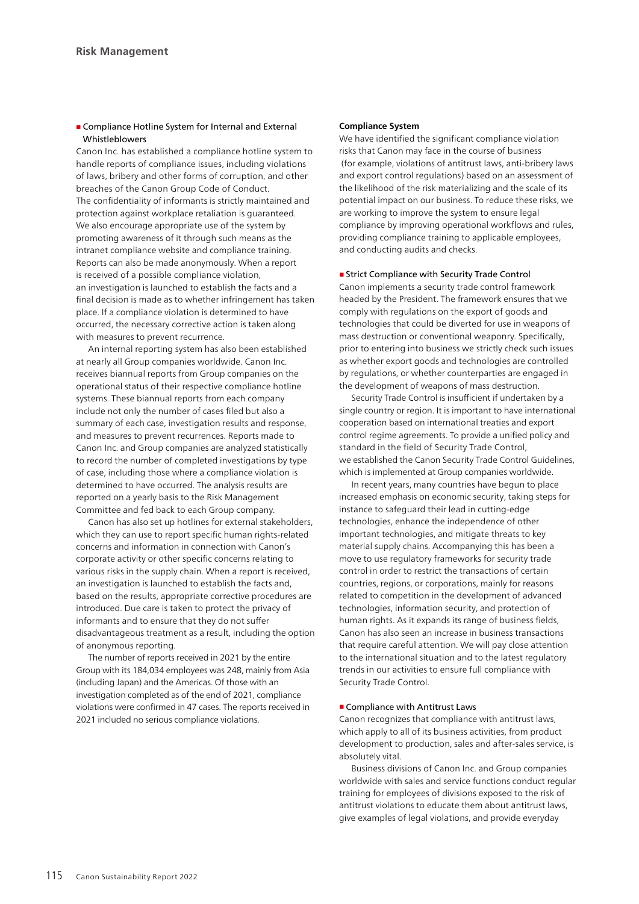#### ■ Compliance Hotline System for Internal and External Whistleblowers

Canon Inc. has established a compliance hotline system to handle reports of compliance issues, including violations of laws, bribery and other forms of corruption, and other breaches of the Canon Group Code of Conduct. The confidentiality of informants is strictly maintained and protection against workplace retaliation is guaranteed. We also encourage appropriate use of the system by promoting awareness of it through such means as the intranet compliance website and compliance training. Reports can also be made anonymously. When a report is received of a possible compliance violation, an investigation is launched to establish the facts and a final decision is made as to whether infringement has taken place. If a compliance violation is determined to have occurred, the necessary corrective action is taken along with measures to prevent recurrence.

An internal reporting system has also been established at nearly all Group companies worldwide. Canon Inc. receives biannual reports from Group companies on the operational status of their respective compliance hotline systems. These biannual reports from each company include not only the number of cases filed but also a summary of each case, investigation results and response, and measures to prevent recurrences. Reports made to Canon Inc. and Group companies are analyzed statistically to record the number of completed investigations by type of case, including those where a compliance violation is determined to have occurred. The analysis results are reported on a yearly basis to the Risk Management Committee and fed back to each Group company.

Canon has also set up hotlines for external stakeholders, which they can use to report specific human rights-related concerns and information in connection with Canon's corporate activity or other specific concerns relating to various risks in the supply chain. When a report is received, an investigation is launched to establish the facts and, based on the results, appropriate corrective procedures are introduced. Due care is taken to protect the privacy of informants and to ensure that they do not suffer disadvantageous treatment as a result, including the option of anonymous reporting.

The number of reports received in 2021 by the entire Group with its 184,034 employees was 248, mainly from Asia (including Japan) and the Americas. Of those with an investigation completed as of the end of 2021, compliance violations were confirmed in 47 cases. The reports received in 2021 included no serious compliance violations.

#### **Compliance System**

We have identified the significant compliance violation risks that Canon may face in the course of business (for example, violations of antitrust laws, anti-bribery laws and export control regulations) based on an assessment of the likelihood of the risk materializing and the scale of its potential impact on our business. To reduce these risks, we are working to improve the system to ensure legal compliance by improving operational workflows and rules, providing compliance training to applicable employees, and conducting audits and checks.

#### ■ Strict Compliance with Security Trade Control

Canon implements a security trade control framework headed by the President. The framework ensures that we comply with regulations on the export of goods and technologies that could be diverted for use in weapons of mass destruction or conventional weaponry. Specifically, prior to entering into business we strictly check such issues as whether export goods and technologies are controlled by regulations, or whether counterparties are engaged in the development of weapons of mass destruction.

Security Trade Control is insufficient if undertaken by a single country or region. It is important to have international cooperation based on international treaties and export control regime agreements. To provide a unified policy and standard in the field of Security Trade Control, we established the Canon Security Trade Control Guidelines, which is implemented at Group companies worldwide.

In recent years, many countries have begun to place increased emphasis on economic security, taking steps for instance to safeguard their lead in cutting-edge technologies, enhance the independence of other important technologies, and mitigate threats to key material supply chains. Accompanying this has been a move to use regulatory frameworks for security trade control in order to restrict the transactions of certain countries, regions, or corporations, mainly for reasons related to competition in the development of advanced technologies, information security, and protection of human rights. As it expands its range of business fields, Canon has also seen an increase in business transactions that require careful attention. We will pay close attention to the international situation and to the latest regulatory trends in our activities to ensure full compliance with Security Trade Control.

#### ■ Compliance with Antitrust Laws

Canon recognizes that compliance with antitrust laws, which apply to all of its business activities, from product development to production, sales and after-sales service, is absolutely vital.

Business divisions of Canon Inc. and Group companies worldwide with sales and service functions conduct regular training for employees of divisions exposed to the risk of antitrust violations to educate them about antitrust laws, give examples of legal violations, and provide everyday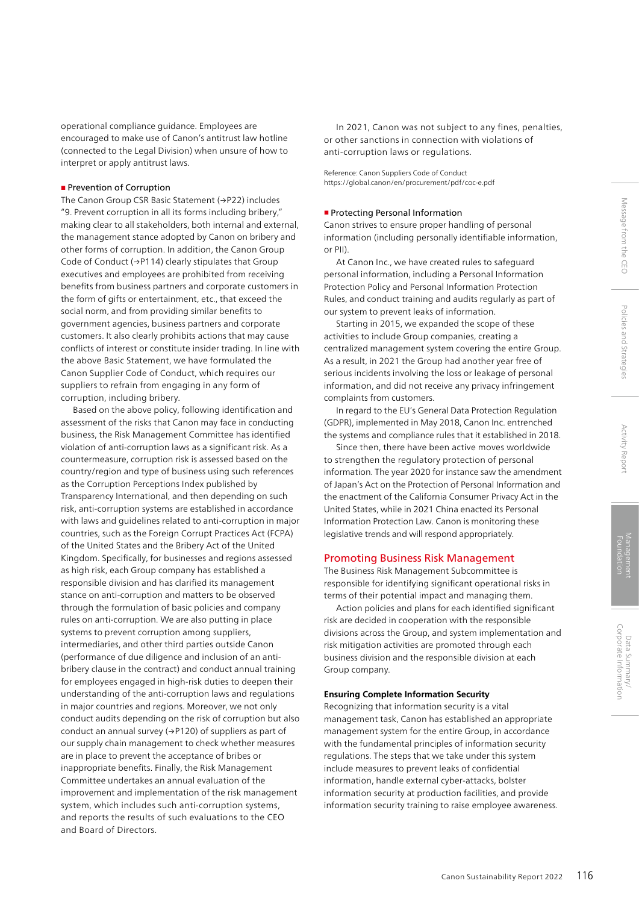operational compliance guidance. Employees are encouraged to make use of Canon's antitrust law hotline (connected to the Legal Division) when unsure of how to interpret or apply antitrust laws.

#### ■ Prevention of Corruption

The Canon Group CSR Basic Statement (→P22) includes "9. Prevent corruption in all its forms including bribery," making clear to all stakeholders, both internal and external, the management stance adopted by Canon on bribery and other forms of corruption. In addition, the Canon Group Code of Conduct (→P114) clearly stipulates that Group executives and employees are prohibited from receiving benefits from business partners and corporate customers in the form of gifts or entertainment, etc., that exceed the social norm, and from providing similar benefits to government agencies, business partners and corporate customers. It also clearly prohibits actions that may cause conflicts of interest or constitute insider trading. In line with the above Basic Statement, we have formulated the Canon Supplier Code of Conduct, which requires our suppliers to refrain from engaging in any form of corruption, including bribery.

Based on the above policy, following identification and assessment of the risks that Canon may face in conducting business, the Risk Management Committee has identified violation of anti-corruption laws as a significant risk. As a countermeasure, corruption risk is assessed based on the country/region and type of business using such references as the Corruption Perceptions Index published by Transparency International, and then depending on such risk, anti-corruption systems are established in accordance with laws and guidelines related to anti-corruption in major countries, such as the Foreign Corrupt Practices Act (FCPA) of the United States and the Bribery Act of the United Kingdom. Specifically, for businesses and regions assessed as high risk, each Group company has established a responsible division and has clarified its management stance on anti-corruption and matters to be observed through the formulation of basic policies and company rules on anti-corruption. We are also putting in place systems to prevent corruption among suppliers, intermediaries, and other third parties outside Canon (performance of due diligence and inclusion of an antibribery clause in the contract) and conduct annual training for employees engaged in high-risk duties to deepen their understanding of the anti-corruption laws and regulations in major countries and regions. Moreover, we not only conduct audits depending on the risk of corruption but also conduct an annual survey (→P120) of suppliers as part of our supply chain management to check whether measures are in place to prevent the acceptance of bribes or inappropriate benefits. Finally, the Risk Management Committee undertakes an annual evaluation of the improvement and implementation of the risk management system, which includes such anti-corruption systems, and reports the results of such evaluations to the CEO and Board of Directors.

In 2021, Canon was not subject to any fines, penalties, or other sanctions in connection with violations of anti-corruption laws or regulations.

Reference: Canon Suppliers Code of Conduct https://global.canon/en/procurement/pdf/coc-e.pdf

#### ■ Protecting Personal Information

Canon strives to ensure proper handling of personal information (including personally identifiable information, or PII).

At Canon Inc., we have created rules to safeguard personal information, including a Personal Information Protection Policy and Personal Information Protection Rules, and conduct training and audits regularly as part of our system to prevent leaks of information.

Starting in 2015, we expanded the scope of these activities to include Group companies, creating a centralized management system covering the entire Group. As a result, in 2021 the Group had another year free of serious incidents involving the loss or leakage of personal information, and did not receive any privacy infringement complaints from customers.

In regard to the EU's General Data Protection Regulation (GDPR), implemented in May 2018, Canon Inc. entrenched the systems and compliance rules that it established in 2018.

Since then, there have been active moves worldwide to strengthen the regulatory protection of personal information. The year 2020 for instance saw the amendment of Japan's Act on the Protection of Personal Information and the enactment of the California Consumer Privacy Act in the United States, while in 2021 China enacted its Personal Information Protection Law. Canon is monitoring these legislative trends and will respond appropriately.

# Promoting Business Risk Management

The Business Risk Management Subcommittee is responsible for identifying significant operational risks in terms of their potential impact and managing them.

Action policies and plans for each identified significant risk are decided in cooperation with the responsible divisions across the Group, and system implementation and risk mitigation activities are promoted through each business division and the responsible division at each Group company.

#### **Ensuring Complete Information Security**

Recognizing that information security is a vital management task, Canon has established an appropriate management system for the entire Group, in accordance with the fundamental principles of information security regulations. The steps that we take under this system include measures to prevent leaks of confidential information, handle external cyber-attacks, bolster information security at production facilities, and provide information security training to raise employee awareness.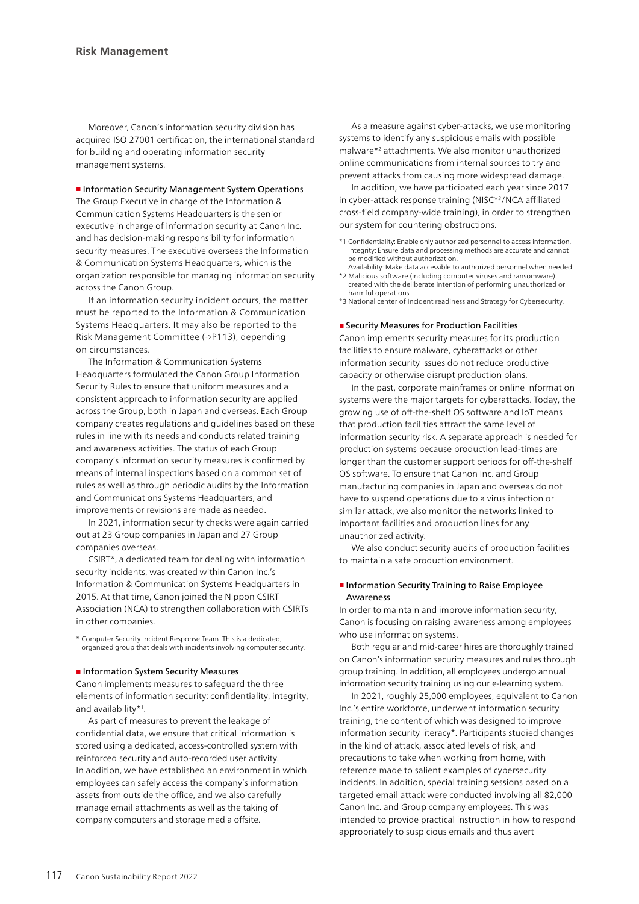Moreover, Canon's information security division has acquired ISO 27001 certification, the international standard for building and operating information security management systems.

#### ■ Information Security Management System Operations

The Group Executive in charge of the Information & Communication Systems Headquarters is the senior executive in charge of information security at Canon Inc. and has decision-making responsibility for information security measures. The executive oversees the Information & Communication Systems Headquarters, which is the organization responsible for managing information security across the Canon Group.

If an information security incident occurs, the matter must be reported to the Information & Communication Systems Headquarters. It may also be reported to the Risk Management Committee (→P113), depending on circumstances.

The Information & Communication Systems Headquarters formulated the Canon Group Information Security Rules to ensure that uniform measures and a consistent approach to information security are applied across the Group, both in Japan and overseas. Each Group company creates regulations and guidelines based on these rules in line with its needs and conducts related training and awareness activities. The status of each Group company's information security measures is confirmed by means of internal inspections based on a common set of rules as well as through periodic audits by the Information and Communications Systems Headquarters, and improvements or revisions are made as needed.

In 2021, information security checks were again carried out at 23 Group companies in Japan and 27 Group companies overseas.

CSIRT\*, a dedicated team for dealing with information security incidents, was created within Canon Inc.'s Information & Communication Systems Headquarters in 2015. At that time, Canon joined the Nippon CSIRT Association (NCA) to strengthen collaboration with CSIRTs in other companies.

\* Computer Security Incident Response Team. This is a dedicated, organized group that deals with incidents involving computer security.

#### ■ Information System Security Measures

Canon implements measures to safeguard the three elements of information security: confidentiality, integrity, and availability\*1.

As part of measures to prevent the leakage of confidential data, we ensure that critical information is stored using a dedicated, access-controlled system with reinforced security and auto-recorded user activity. In addition, we have established an environment in which employees can safely access the company's information assets from outside the office, and we also carefully manage email attachments as well as the taking of company computers and storage media offsite.

As a measure against cyber-attacks, we use monitoring systems to identify any suspicious emails with possible malware\*2 attachments. We also monitor unauthorized online communications from internal sources to try and prevent attacks from causing more widespread damage.

In addition, we have participated each year since 2017 in cyber-attack response training (NISC\*3/NCA affiliated cross-field company-wide training), in order to strengthen our system for countering obstructions.

- \*1 Confidentiality: Enable only authorized personnel to access information. Integrity: Ensure data and processing methods are accurate and cannot be modified without authorization.
- Availability: Make data accessible to authorized personnel when needed. \*2 Malicious software (including computer viruses and ransomware) created with the deliberate intention of performing unauthorized or harmful operations.
- \*3 National center of Incident readiness and Strategy for Cybersecurity.

#### ■ Security Measures for Production Facilities

Canon implements security measures for its production facilities to ensure malware, cyberattacks or other information security issues do not reduce productive capacity or otherwise disrupt production plans.

In the past, corporate mainframes or online information systems were the major targets for cyberattacks. Today, the growing use of off-the-shelf OS software and IoT means that production facilities attract the same level of information security risk. A separate approach is needed for production systems because production lead-times are longer than the customer support periods for off-the-shelf OS software. To ensure that Canon Inc. and Group manufacturing companies in Japan and overseas do not have to suspend operations due to a virus infection or similar attack, we also monitor the networks linked to important facilities and production lines for any unauthorized activity.

We also conduct security audits of production facilities to maintain a safe production environment.

### ■ Information Security Training to Raise Employee Awareness

In order to maintain and improve information security, Canon is focusing on raising awareness among employees who use information systems.

Both regular and mid-career hires are thoroughly trained on Canon's information security measures and rules through group training. In addition, all employees undergo annual information security training using our e-learning system.

In 2021, roughly 25,000 employees, equivalent to Canon Inc.'s entire workforce, underwent information security training, the content of which was designed to improve information security literacy\*. Participants studied changes in the kind of attack, associated levels of risk, and precautions to take when working from home, with reference made to salient examples of cybersecurity incidents. In addition, special training sessions based on a targeted email attack were conducted involving all 82,000 Canon Inc. and Group company employees. This was intended to provide practical instruction in how to respond appropriately to suspicious emails and thus avert